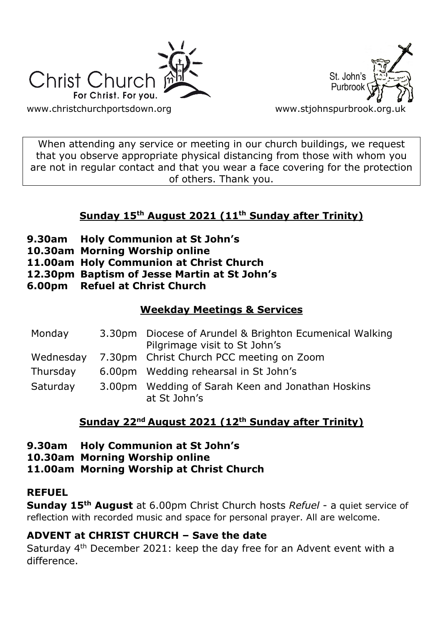



When attending any service or meeting in our church buildings, we request that you observe appropriate physical distancing from those with whom you are not in regular contact and that you wear a face covering for the protection of others. Thank you.

# **Sunday 15th August 2021 (11th Sunday after Trinity)**

- **9.30am Holy Communion at St John's**
- **10.30am Morning Worship online**
- **11.00am Holy Communion at Christ Church**
- **12.30pm Baptism of Jesse Martin at St John's**
- **6.00pm Refuel at Christ Church**

### **Weekday Meetings & Services**

| Monday   | 3.30pm Diocese of Arundel & Brighton Ecumenical Walking<br>Pilgrimage visit to St John's |
|----------|------------------------------------------------------------------------------------------|
|          | Wednesday 7.30pm Christ Church PCC meeting on Zoom                                       |
| Thursday | 6.00pm Wedding rehearsal in St John's                                                    |
| Saturday | 3.00pm Wedding of Sarah Keen and Jonathan Hoskins<br>at St John's                        |

# **Sunday 22nd August 2021 (12th Sunday after Trinity)**

**9.30am Holy Communion at St John's**

**10.30am Morning Worship online**

**11.00am Morning Worship at Christ Church**

## **REFUEL**

**Sunday 15th August** at 6.00pm Christ Church hosts *Refuel* - a quiet service of reflection with recorded music and space for personal prayer. All are welcome.

## **ADVENT at CHRIST CHURCH – Save the date**

Saturday 4th December 2021: keep the day free for an Advent event with a difference.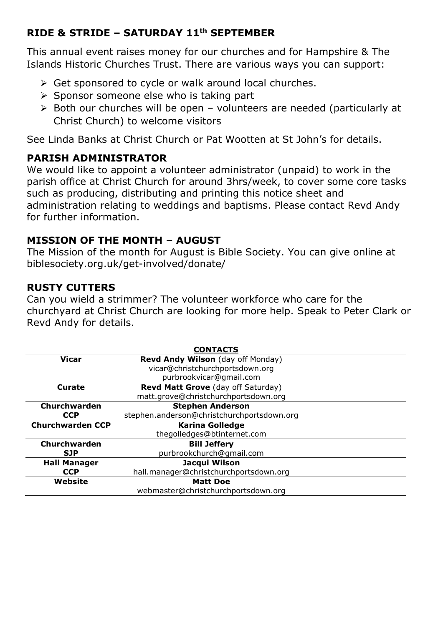### **RIDE & STRIDE – SATURDAY 11th SEPTEMBER**

This annual event raises money for our churches and for Hampshire & The Islands Historic Churches Trust. There are various ways you can support:

- ➢ Get sponsored to cycle or walk around local churches.
- ➢ Sponsor someone else who is taking part
- ➢ Both our churches will be open volunteers are needed (particularly at Christ Church) to welcome visitors

See Linda Banks at Christ Church or Pat Wootten at St John's for details.

## **PARISH ADMINISTRATOR**

We would like to appoint a volunteer administrator (unpaid) to work in the parish office at Christ Church for around 3hrs/week, to cover some core tasks such as producing, distributing and printing this notice sheet and administration relating to weddings and baptisms. Please contact Revd Andy for further information.

### **MISSION OF THE MONTH – AUGUST**

The Mission of the month for August is Bible Society. You can give online at biblesociety.org.uk/get-involved/donate/

### **RUSTY CUTTERS**

Can you wield a strimmer? The volunteer workforce who care for the churchyard at Christ Church are looking for more help. Speak to Peter Clark or Revd Andy for details.

|                         | <b>CONTACTS</b>                            |
|-------------------------|--------------------------------------------|
| <b>Vicar</b>            | Revd Andy Wilson (day off Monday)          |
|                         | vicar@christchurchportsdown.org            |
|                         | purbrookvicar@gmail.com                    |
| Curate                  | <b>Revd Matt Grove</b> (day off Saturday)  |
|                         | matt.grove@christchurchportsdown.org       |
| Churchwarden            | <b>Stephen Anderson</b>                    |
| <b>CCP</b>              | stephen.anderson@christchurchportsdown.org |
|                         |                                            |
| <b>Churchwarden CCP</b> | <b>Karina Golledge</b>                     |
|                         | thegolledges@btinternet.com                |
| Churchwarden            | <b>Bill Jeffery</b>                        |
| <b>SJP</b>              | purbrookchurch@qmail.com                   |
| <b>Hall Manager</b>     | Jacqui Wilson                              |
| <b>CCP</b>              | hall.manager@christchurchportsdown.org     |
| Website                 | <b>Matt Doe</b>                            |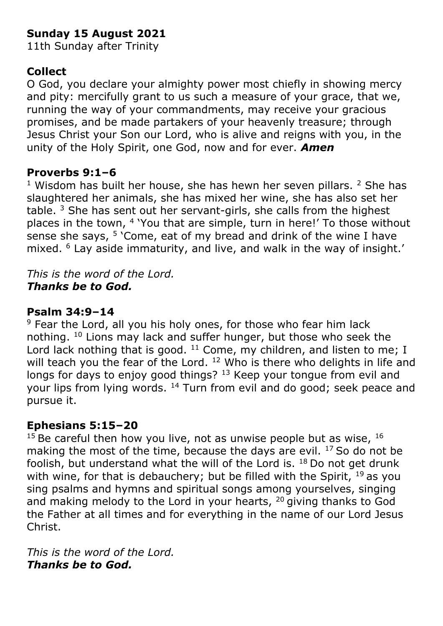# **Sunday 15 August 2021**

11th Sunday after Trinity

# **Collect**

O God, you declare your almighty power most chiefly in showing mercy and pity: mercifully grant to us such a measure of your grace, that we, running the way of your commandments, may receive your gracious promises, and be made partakers of your heavenly treasure; through Jesus Christ your Son our Lord, who is alive and reigns with you, in the unity of the Holy Spirit, one God, now and for ever. *Amen*

## **Proverbs 9:1–6**

 $1$  Wisdom has built her house, she has hewn her seven pillars.  $2$  She has slaughtered her animals, she has mixed her wine, she has also set her table.  $3$  She has sent out her servant-girls, she calls from the highest places in the town, <sup>4</sup> 'You that are simple, turn in here!' To those without sense she says,  $5$  'Come, eat of my bread and drink of the wine I have mixed. <sup>6</sup> Lay aside immaturity, and live, and walk in the way of insight.'

*This is the word of the Lord. Thanks be to God.*

## **Psalm 34:9–14**

 $9$  Fear the Lord, all you his holy ones, for those who fear him lack nothing. <sup>10</sup> Lions may lack and suffer hunger, but those who seek the Lord lack nothing that is good.  $11$  Come, my children, and listen to me; I will teach you the fear of the Lord. <sup>12</sup> Who is there who delights in life and longs for days to enjoy good things? <sup>13</sup> Keep your tongue from evil and your lips from lying words. <sup>14</sup> Turn from evil and do good; seek peace and pursue it.

## **Ephesians 5:15–20**

 $15$  Be careful then how you live, not as unwise people but as wise,  $16$ making the most of the time, because the days are evil. <sup>17</sup> So do not be foolish, but understand what the will of the Lord is.  $18$  Do not get drunk with wine, for that is debauchery; but be filled with the Spirit,  $19$  as you sing psalms and hymns and spiritual songs among yourselves, singing and making melody to the Lord in your hearts, <sup>20</sup> giving thanks to God the Father at all times and for everything in the name of our Lord Jesus Christ.

*This is the word of the Lord. Thanks be to God.*